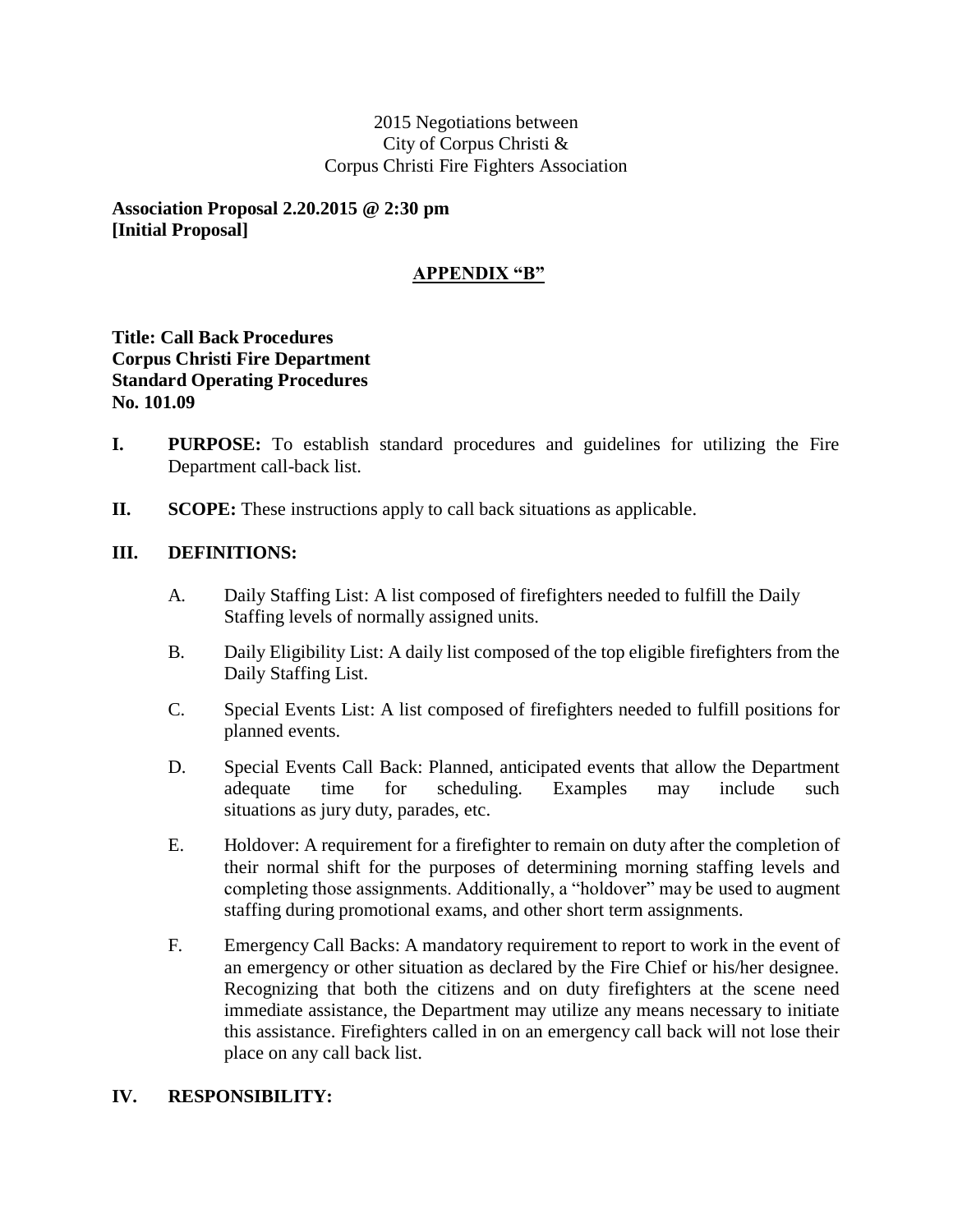#### 2015 Negotiations between City of Corpus Christi & Corpus Christi Fire Fighters Association

**Association Proposal 2.20.2015 @ 2:30 pm [Initial Proposal]**

## **APPENDIX "B"**

## **Title: Call Back Procedures Corpus Christi Fire Department Standard Operating Procedures No. 101.09**

- **I. PURPOSE:** To establish standard procedures and guidelines for utilizing the Fire Department call-back list.
- **II.** SCOPE: These instructions apply to call back situations as applicable.

## **III. DEFINITIONS:**

- A. Daily Staffing List: A list composed of firefighters needed to fulfill the Daily Staffing levels of normally assigned units.
- B. Daily Eligibility List: A daily list composed of the top eligible firefighters from the Daily Staffing List.
- C. Special Events List: A list composed of firefighters needed to fulfill positions for planned events.
- D. Special Events Call Back: Planned, anticipated events that allow the Department adequate time for scheduling. Examples may include such situations as jury duty, parades, etc.
- E. Holdover: A requirement for a firefighter to remain on duty after the completion of their normal shift for the purposes of determining morning staffing levels and completing those assignments. Additionally, a "holdover" may be used to augment staffing during promotional exams, and other short term assignments.
- F. Emergency Call Backs: A mandatory requirement to report to work in the event of an emergency or other situation as declared by the Fire Chief or his/her designee. Recognizing that both the citizens and on duty firefighters at the scene need immediate assistance, the Department may utilize any means necessary to initiate this assistance. Firefighters called in on an emergency call back will not lose their place on any call back list.

### **IV. RESPONSIBILITY:**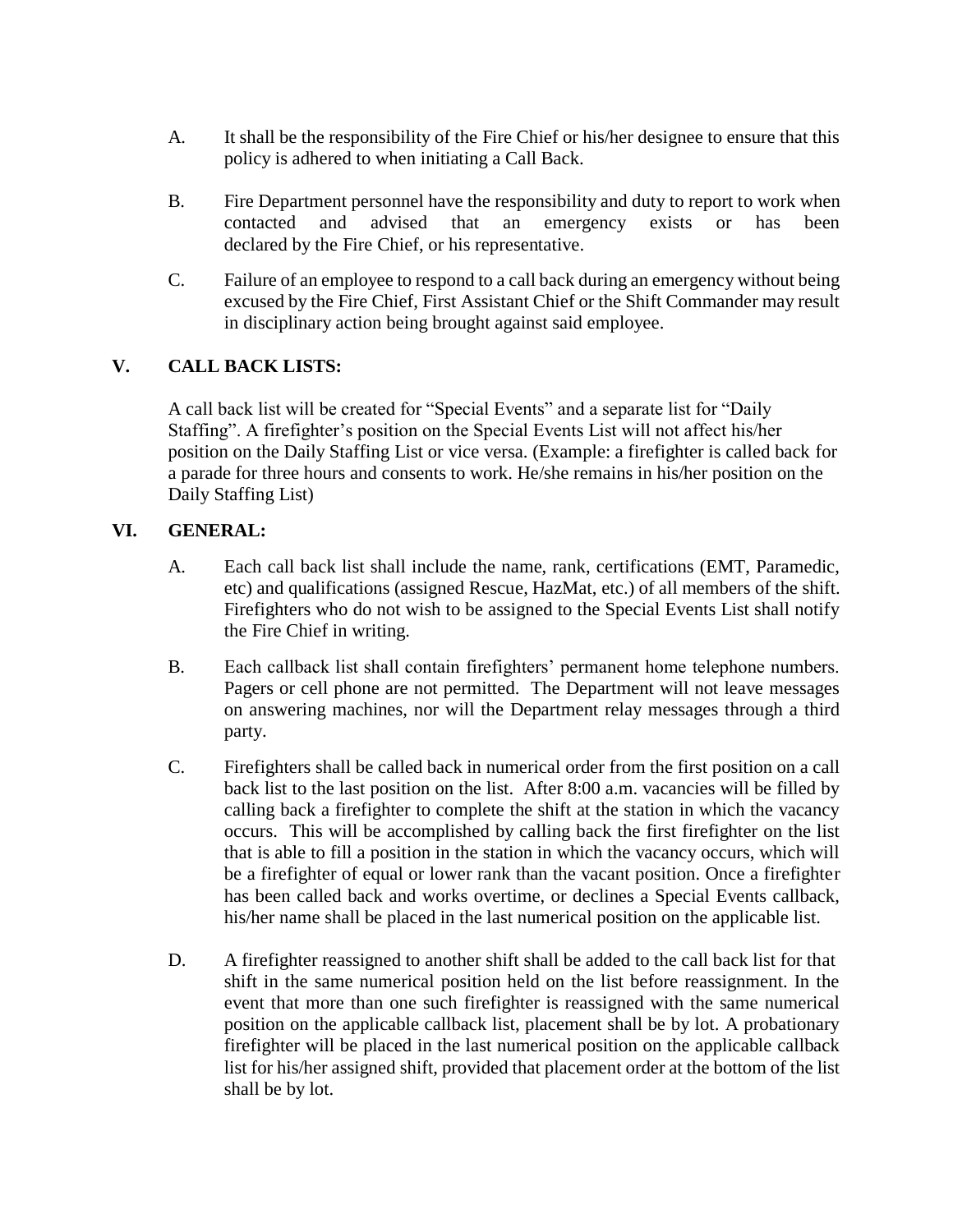- A. It shall be the responsibility of the Fire Chief or his/her designee to ensure that this policy is adhered to when initiating a Call Back.
- B. Fire Department personnel have the responsibility and duty to report to work when contacted and advised that an emergency exists or has been declared by the Fire Chief, or his representative.
- C. Failure of an employee to respond to a call back during an emergency without being excused by the Fire Chief, First Assistant Chief or the Shift Commander may result in disciplinary action being brought against said employee.

## **V. CALL BACK LISTS:**

A call back list will be created for "Special Events" and a separate list for "Daily Staffing". A firefighter's position on the Special Events List will not affect his/her position on the Daily Staffing List or vice versa. (Example: a firefighter is called back for a parade for three hours and consents to work. He/she remains in his/her position on the Daily Staffing List)

### **VI. GENERAL:**

- A. Each call back list shall include the name, rank, certifications (EMT, Paramedic, etc) and qualifications (assigned Rescue, HazMat, etc.) of all members of the shift. Firefighters who do not wish to be assigned to the Special Events List shall notify the Fire Chief in writing.
- B. Each callback list shall contain firefighters' permanent home telephone numbers. Pagers or cell phone are not permitted. The Department will not leave messages on answering machines, nor will the Department relay messages through a third party.
- C. Firefighters shall be called back in numerical order from the first position on a call back list to the last position on the list. After 8:00 a.m. vacancies will be filled by calling back a firefighter to complete the shift at the station in which the vacancy occurs. This will be accomplished by calling back the first firefighter on the list that is able to fill a position in the station in which the vacancy occurs, which will be a firefighter of equal or lower rank than the vacant position. Once a firefighter has been called back and works overtime, or declines a Special Events callback, his/her name shall be placed in the last numerical position on the applicable list.
- D. A firefighter reassigned to another shift shall be added to the call back list for that shift in the same numerical position held on the list before reassignment. In the event that more than one such firefighter is reassigned with the same numerical position on the applicable callback list, placement shall be by lot. A probationary firefighter will be placed in the last numerical position on the applicable callback list for his/her assigned shift, provided that placement order at the bottom of the list shall be by lot.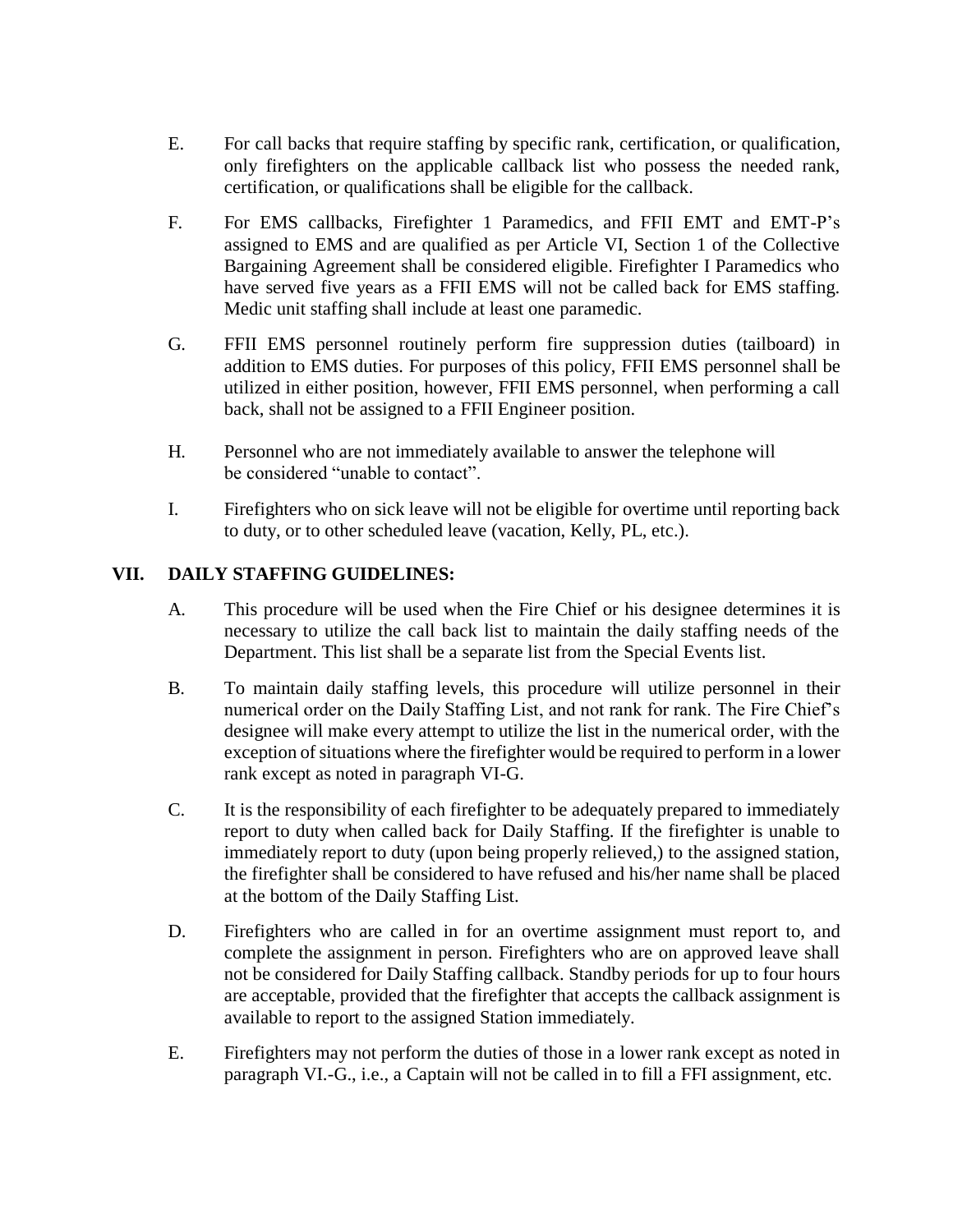- E. For call backs that require staffing by specific rank, certification, or qualification, only firefighters on the applicable callback list who possess the needed rank, certification, or qualifications shall be eligible for the callback.
- F. For EMS callbacks, Firefighter 1 Paramedics, and FFII EMT and EMT-P's assigned to EMS and are qualified as per Article VI, Section 1 of the Collective Bargaining Agreement shall be considered eligible. Firefighter I Paramedics who have served five years as a FFII EMS will not be called back for EMS staffing. Medic unit staffing shall include at least one paramedic.
- G. FFII EMS personnel routinely perform fire suppression duties (tailboard) in addition to EMS duties. For purposes of this policy, FFII EMS personnel shall be utilized in either position, however, FFII EMS personnel, when performing a call back, shall not be assigned to a FFII Engineer position.
- H. Personnel who are not immediately available to answer the telephone will be considered "unable to contact".
- I. Firefighters who on sick leave will not be eligible for overtime until reporting back to duty, or to other scheduled leave (vacation, Kelly, PL, etc.).

### **VII. DAILY STAFFING GUIDELINES:**

- A. This procedure will be used when the Fire Chief or his designee determines it is necessary to utilize the call back list to maintain the daily staffing needs of the Department. This list shall be a separate list from the Special Events list.
- B. To maintain daily staffing levels, this procedure will utilize personnel in their numerical order on the Daily Staffing List, and not rank for rank. The Fire Chief's designee will make every attempt to utilize the list in the numerical order, with the exception of situations where the firefighter would be required to perform in a lower rank except as noted in paragraph VI-G.
- C. It is the responsibility of each firefighter to be adequately prepared to immediately report to duty when called back for Daily Staffing. If the firefighter is unable to immediately report to duty (upon being properly relieved,) to the assigned station, the firefighter shall be considered to have refused and his/her name shall be placed at the bottom of the Daily Staffing List.
- D. Firefighters who are called in for an overtime assignment must report to, and complete the assignment in person. Firefighters who are on approved leave shall not be considered for Daily Staffing callback. Standby periods for up to four hours are acceptable, provided that the firefighter that accepts the callback assignment is available to report to the assigned Station immediately.
- E. Firefighters may not perform the duties of those in a lower rank except as noted in paragraph VI.-G., i.e., a Captain will not be called in to fill a FFI assignment, etc.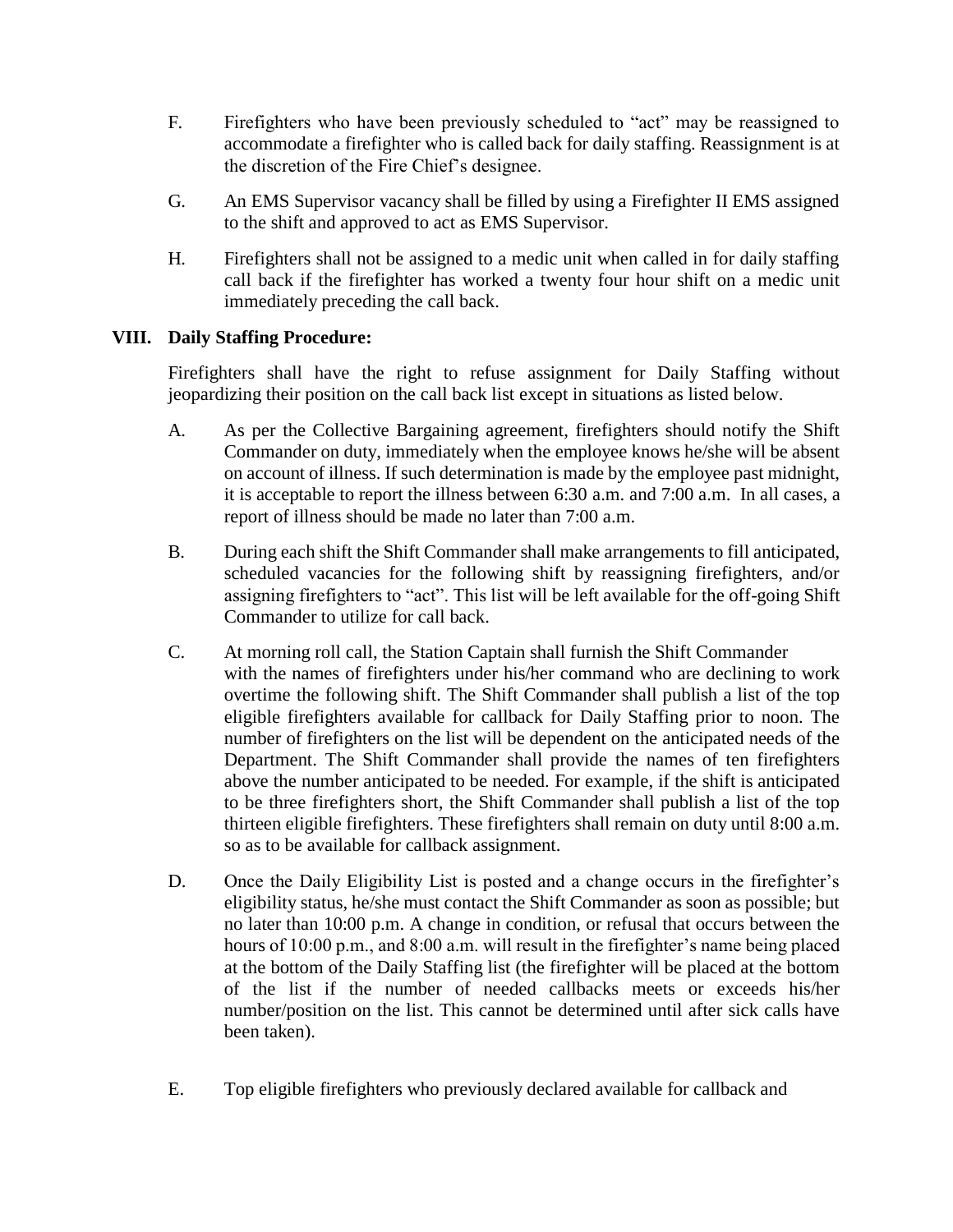- F. Firefighters who have been previously scheduled to "act" may be reassigned to accommodate a firefighter who is called back for daily staffing. Reassignment is at the discretion of the Fire Chief's designee.
- G. An EMS Supervisor vacancy shall be filled by using a Firefighter II EMS assigned to the shift and approved to act as EMS Supervisor.
- H. Firefighters shall not be assigned to a medic unit when called in for daily staffing call back if the firefighter has worked a twenty four hour shift on a medic unit immediately preceding the call back.

## **VIII. Daily Staffing Procedure:**

Firefighters shall have the right to refuse assignment for Daily Staffing without jeopardizing their position on the call back list except in situations as listed below.

- A. As per the Collective Bargaining agreement, firefighters should notify the Shift Commander on duty, immediately when the employee knows he/she will be absent on account of illness. If such determination is made by the employee past midnight, it is acceptable to report the illness between 6:30 a.m. and 7:00 a.m. In all cases, a report of illness should be made no later than 7:00 a.m.
- B. During each shift the Shift Commander shall make arrangements to fill anticipated, scheduled vacancies for the following shift by reassigning firefighters, and/or assigning firefighters to "act". This list will be left available for the off-going Shift Commander to utilize for call back.
- C. At morning roll call, the Station Captain shall furnish the Shift Commander with the names of firefighters under his/her command who are declining to work overtime the following shift. The Shift Commander shall publish a list of the top eligible firefighters available for callback for Daily Staffing prior to noon. The number of firefighters on the list will be dependent on the anticipated needs of the Department. The Shift Commander shall provide the names of ten firefighters above the number anticipated to be needed. For example, if the shift is anticipated to be three firefighters short, the Shift Commander shall publish a list of the top thirteen eligible firefighters. These firefighters shall remain on duty until 8:00 a.m. so as to be available for callback assignment.
- D. Once the Daily Eligibility List is posted and a change occurs in the firefighter's eligibility status, he/she must contact the Shift Commander as soon as possible; but no later than 10:00 p.m. A change in condition, or refusal that occurs between the hours of 10:00 p.m., and 8:00 a.m. will result in the firefighter's name being placed at the bottom of the Daily Staffing list (the firefighter will be placed at the bottom of the list if the number of needed callbacks meets or exceeds his/her number/position on the list. This cannot be determined until after sick calls have been taken).
- E. Top eligible firefighters who previously declared available for callback and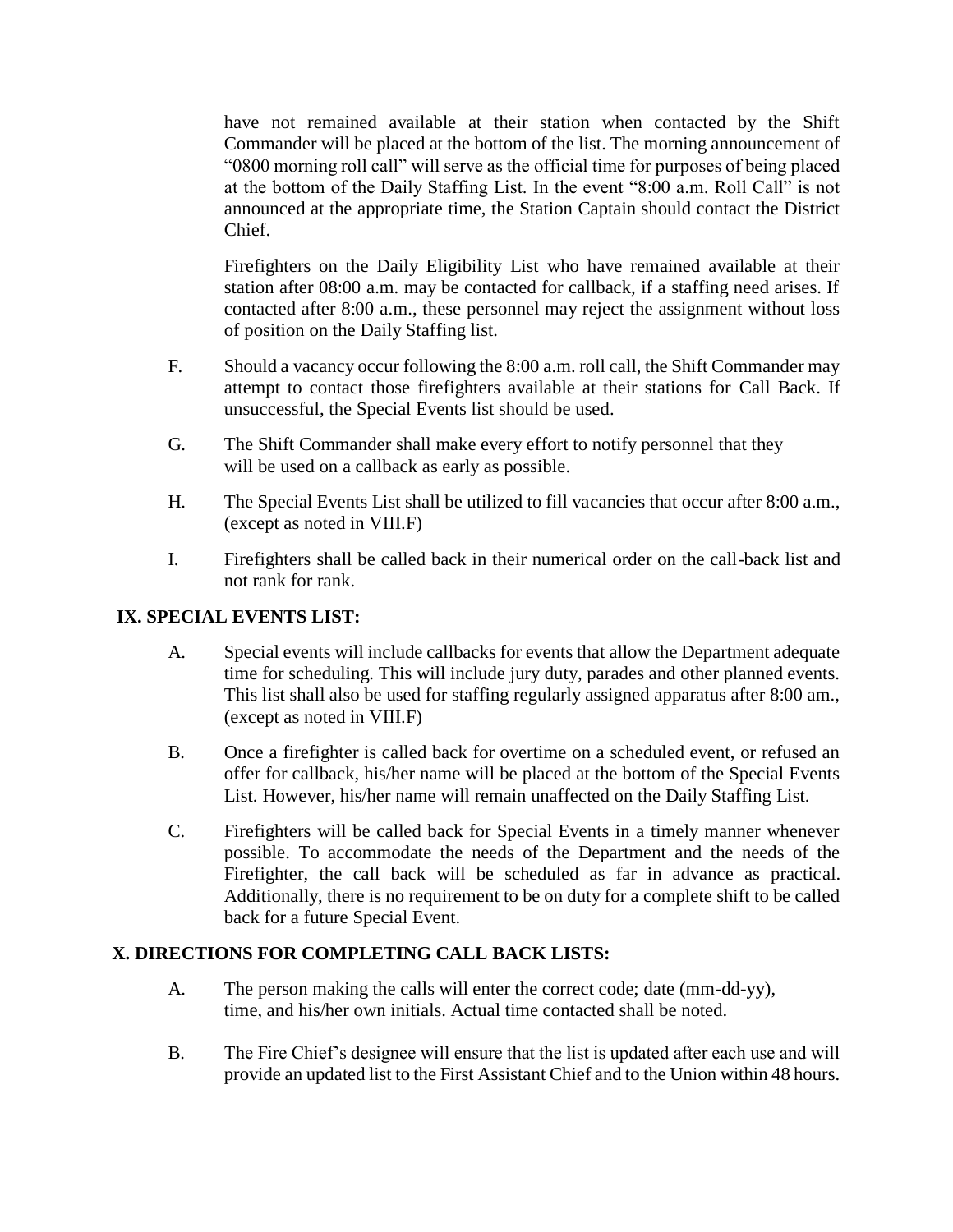have not remained available at their station when contacted by the Shift Commander will be placed at the bottom of the list. The morning announcement of "0800 morning roll call" will serve as the official time for purposes of being placed at the bottom of the Daily Staffing List. In the event "8:00 a.m. Roll Call" is not announced at the appropriate time, the Station Captain should contact the District Chief.

Firefighters on the Daily Eligibility List who have remained available at their station after 08:00 a.m. may be contacted for callback, if a staffing need arises. If contacted after 8:00 a.m., these personnel may reject the assignment without loss of position on the Daily Staffing list.

- F. Should a vacancy occur following the 8:00 a.m. roll call, the Shift Commander may attempt to contact those firefighters available at their stations for Call Back. If unsuccessful, the Special Events list should be used.
- G. The Shift Commander shall make every effort to notify personnel that they will be used on a callback as early as possible.
- H. The Special Events List shall be utilized to fill vacancies that occur after 8:00 a.m., (except as noted in VIII.F)
- I. Firefighters shall be called back in their numerical order on the call-back list and not rank for rank.

# **IX. SPECIAL EVENTS LIST:**

- A. Special events will include callbacks for events that allow the Department adequate time for scheduling. This will include jury duty, parades and other planned events. This list shall also be used for staffing regularly assigned apparatus after 8:00 am., (except as noted in VIII.F)
- B. Once a firefighter is called back for overtime on a scheduled event, or refused an offer for callback, his/her name will be placed at the bottom of the Special Events List. However, his/her name will remain unaffected on the Daily Staffing List.
- C. Firefighters will be called back for Special Events in a timely manner whenever possible. To accommodate the needs of the Department and the needs of the Firefighter, the call back will be scheduled as far in advance as practical. Additionally, there is no requirement to be on duty for a complete shift to be called back for a future Special Event.

### **X. DIRECTIONS FOR COMPLETING CALL BACK LISTS:**

- A. The person making the calls will enter the correct code; date (mm-dd-yy), time, and his/her own initials. Actual time contacted shall be noted.
- B. The Fire Chief's designee will ensure that the list is updated after each use and will provide an updated list to the First Assistant Chief and to the Union within 48 hours.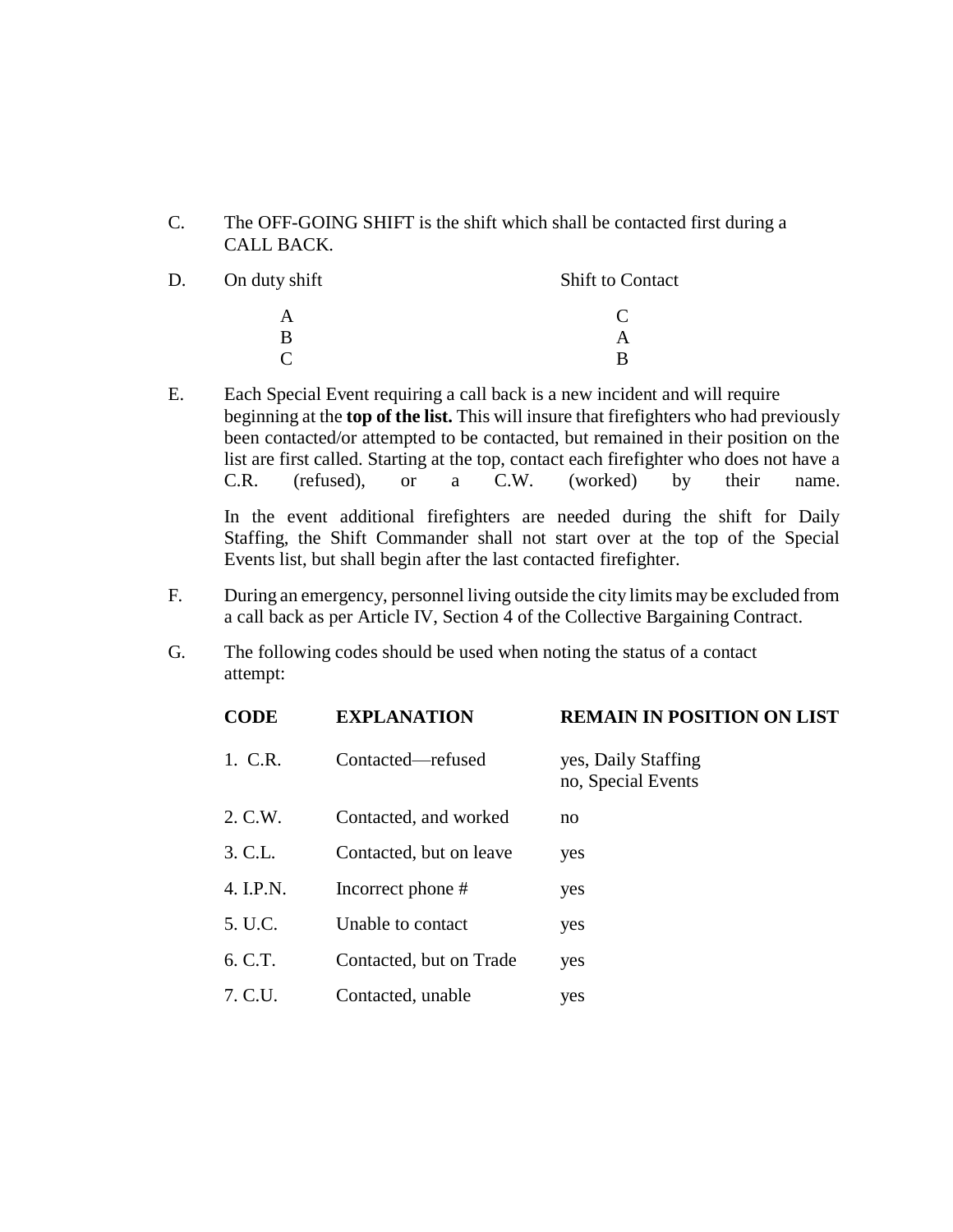C. The OFF-GOING SHIFT is the shift which shall be contacted first during a CALL BACK.

| D. | On duty shift | <b>Shift to Contact</b> |
|----|---------------|-------------------------|
|    |               |                         |
|    |               |                         |
|    |               |                         |

E. Each Special Event requiring a call back is a new incident and will require beginning at the **top of the list.** This will insure that firefighters who had previously been contacted/or attempted to be contacted, but remained in their position on the list are first called. Starting at the top, contact each firefighter who does not have a C.R. (refused), or a C.W. (worked) by their name.

In the event additional firefighters are needed during the shift for Daily Staffing, the Shift Commander shall not start over at the top of the Special Events list, but shall begin after the last contacted firefighter.

- F. During an emergency, personnel living outside the city limits may be excluded from a call back as per Article IV, Section 4 of the Collective Bargaining Contract.
- G. The following codes should be used when noting the status of a contact attempt:

| <b>CODE</b> | <b>EXPLANATION</b>      | <b>REMAIN IN POSITION ON LIST</b>         |
|-------------|-------------------------|-------------------------------------------|
| 1. C.R.     | Contacted—refused       | yes, Daily Staffing<br>no, Special Events |
| 2. C.W.     | Contacted, and worked   | no                                        |
| 3. C.L.     | Contacted, but on leave | yes                                       |
| 4. I.P.N.   | Incorrect phone #       | yes                                       |
| 5. U.C.     | Unable to contact       | yes                                       |
| 6. C.T.     | Contacted, but on Trade | yes                                       |
| 7. C.U.     | Contacted, unable       | yes                                       |